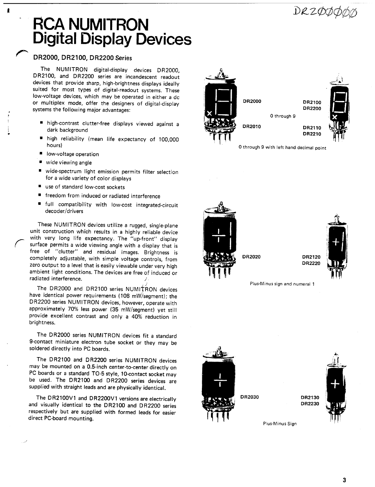# DRZØJ

# **RCA NUMITRON Digital Display Devices**

# DR2000, DR2100, DR2200 Series

The NUMITRON digital-display devices DR2000,<br>DR2100, and DR2200 series are incandescent readout devices that provide sharp, high-brightness displays ideally suited for most types of digital-readout systems. These low-voltage devices, which may be operated in either a dc **DR2000 DR2000** or multiplex mode, offer the designers of digital-display **DR2000** DR2100 DR2100 Systems the following major advantages:

- **\*** high-contrast clutter-free displays viewed against a **DR2010** DR2010 DR2110
- high reliability (mean life expectancy of 100,000 **hours**)
- low-voltage operation
- $"$  wide viewing angle
- wide-spectrum light emission permits filter selection for a wide variety of color displays
- use of standard low-cost sockets
- \* freedom from induced or radiated interference
- \* full compatibility with low-cost integrated-circuit decoder/drivers

These NUMITRON devices utilize a rugged, single-plane unit construction which results in a highly reliable device with very long life expectancy. The "up-front" display surface permits a wide viewing angle with a display that is free of "clutter" and residual images. Brightness is free of "completely adjustable, with simple voltage controls, from **DR2020** DR2020 DR2120<br>Term output to a lovel that is socilia was been been to be controlled that is social with the base of the control zero output to a level that is easily viewable under very high ambient light conditions. The devices are free of induced or radiated interference.

The DR2000 and DR2100 series NUMITRON devices have identical power requirements (108 mW/segment); the DR2200 series NUMITRON devices, however, operate with approximately 70% less power (35 mW/segment) yet still provide excellent contrast and only a 40% reduction in brightness.

The DR2000 series NUMITRON devices fit a standard 9-contact miniature electron tube socket or they may be soldered directly into PC boards.

The DR2100 and DR2200 series NUMITRON devices may be mounted on a 0.5-inch center-to-center directly on PC boards or a standard TO-5 style, 10-contact socket may be used. The DR2100 and DR2200 series devices are supplied with straight leads and are physically identical.

The DR2100V1 and DR2200V1 versions are electrically **DR2030** DR2030 DR2130<br>deviative identical to the DR2100 and DR2200 and visually identical to the DR2100 and DR2200 series respectively but are supplied with formed leads for easier direct PC-board mounting.



0 through 9 with left hand decimal point



Plus-Minus sign and numeral 1





Plus-Minus Sign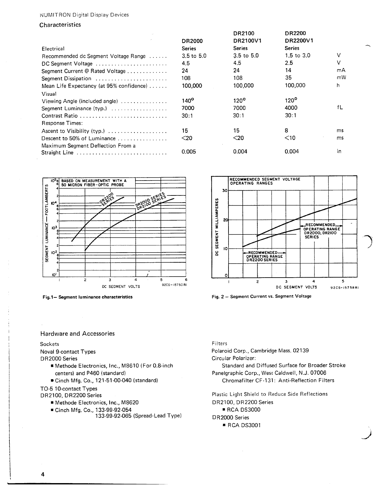## NUMITRON Digital Display Devices

**Characteristics** 

|                                                           |                       | DR2100           | <b>DR2200</b>         |    |
|-----------------------------------------------------------|-----------------------|------------------|-----------------------|----|
|                                                           | <b>DR2000</b>         | DR2100V1         | DR2200V1              |    |
| Electrical                                                | <b>Series</b>         | <b>Series</b>    | Series                |    |
| Recommended dc Segment Voltage Range                      | $3.5 \text{ to } 5.0$ | $3.5$ to $5.0$   | $1.5 \text{ to } 3.0$ | V  |
| DC Segment Voltage                                        | 4.5                   | 4.5              | 2.5                   | v  |
| Segment Current @ Rated Voltage                           | 24                    | 24               | 14                    | mA |
| Segment Dissipation                                       | 108                   | 108              | 35                    | mW |
| Mean Life Expectancy (at 95% confidence)                  | 100,000               | 100,000          | 100,000               | h  |
| Visual                                                    |                       |                  |                       |    |
| Viewing Angle (included angle) $\ldots$                   | $140^\circ$           | 120 <sup>o</sup> | $120^{\circ}$         |    |
| Segment Luminance (typ.)                                  | 7000                  | 7000             | 4000                  | fL |
| Contrast Ratio                                            | 30:1                  | 30:1             | 30:1                  |    |
| Response Times:                                           |                       |                  |                       |    |
| Ascent to Visibility (typ.)                               | 15                    | 15               | 8                     | ms |
| Descent to 50% of Luminance $\ldots \ldots \ldots \ldots$ | $20$                  | $<$ 20           | $<$ 10                | ms |
| Maximum Segment Deflection From a<br>Straight Line        | 0.005                 | 0.004            | 0.004                 | in |



Fig.l- **Segment luminance characteristics** Fig. 2 - Segment Current vs. Segment Voltage



Hardware and Accessories

### Sockets Filters

- centers) and P460 (standard) Panelgraphic Corp., West Caldwell, N.J. 07006
- \*Cinch Mfg. Co., 121-51-00-040 (standard) Chromafilter CF-131: Anti-Reflection Filters

TO-5 10-contact Types

- 
- $*$  Cinch Mfg. Co., 133-99-92-054
	- 133-99-92-065 (Spread-Lead Type) DR2000 Series

Noval 9-contact Types **Polaroid Corp., Cambridge Mass. 02139** DR2000 Series Circular Polarizer:

\* Methode Electronics, Inc., M8610 (For 0.8-inch Standard Standard and Diffused Surface for Broader Stroke

Plastic Light Shield to Reduce Side Reflections ■ Methode Electronics, Inc., M8620 DR2100, DR2200 Series<br>■ Cinch Mfg. Co., 133-99-92-054 DR2100, DR2200 DR23000 **·** RCA DS3001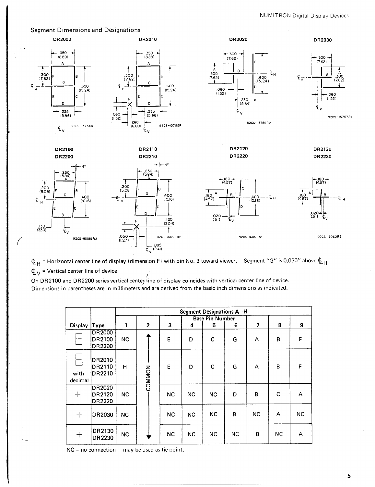

 $t_H$  = Horizontal center line of display (dimension F) with pin No. 3 toward viewer. Segment "G" is 0.030" above  $t_H$ .  $\mathbf{\mathfrak{C}}_{V}$  = Vertical center line of device

On DR2100 and DR2200 series vertical center line of display coincides with vertical center line of device. Dimensions in parentheses are in millimeters and are derived from the basic inch dimensions as indicated.

|                 |                                          | <b>Segment Designations A-H</b> |                |           |           |                        |    |     |           |     |  |
|-----------------|------------------------------------------|---------------------------------|----------------|-----------|-----------|------------------------|----|-----|-----------|-----|--|
|                 |                                          |                                 |                |           |           | <b>Base Pin Number</b> |    |     |           |     |  |
| <b>Display</b>  | <b>Type</b>                              | 1                               | $\overline{2}$ | 3         | 4         | 5                      | 6  | 7   | 8         | 9   |  |
|                 | DR2000<br>DR2100<br><b>DR2200</b>        | <b>NC</b>                       |                | E         | D         | C                      | G  | A   | B         | F   |  |
| with<br>decimal | DR2010<br><b>DR2110</b><br><b>DR2210</b> | н                               | COMMON         | E         | D         | C                      | G  | A   | B         | F   |  |
| $+$             | DR2020<br>DR2120<br>DR2220               | NC.                             |                | <b>NC</b> | <b>NC</b> | <b>NC</b>              | D  | B   | C         | A   |  |
| $+$             | DR2030                                   | <b>NC</b>                       |                | <b>NC</b> | <b>NC</b> | <b>NC</b>              | B  | NC. | A         | NC. |  |
| $+$             | DR2130<br>DR2230                         | <b>NC</b>                       |                | <b>NC</b> | NC        | NC                     | NC | B   | <b>NC</b> | A   |  |

 $NC = no$  connection  $-$  may be used as tie point.